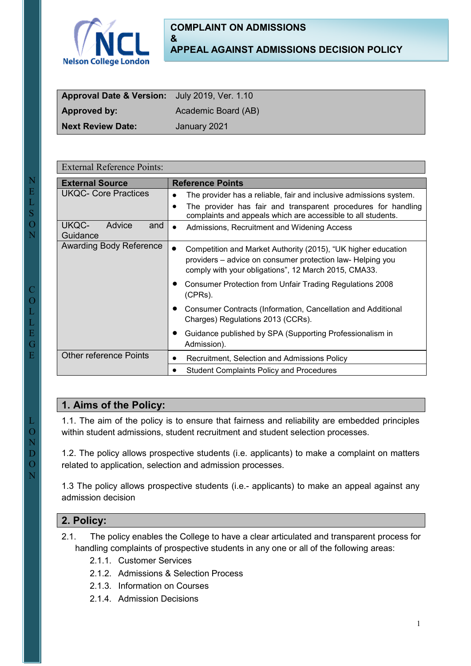

**&** 

# **COMPLAINT ON ADMISSIONS**

**APPEAL AGAINST ADMISSIONS DECISION POLICY** 

| <b>Approval Date &amp; Version:</b> July 2019, Ver. 1.10 |                     |
|----------------------------------------------------------|---------------------|
| Approved by:                                             | Academic Board (AB) |
| <b>Next Review Date:</b>                                 | January 2021        |

|  | <b>External Reference Points:</b> |  |
|--|-----------------------------------|--|
|--|-----------------------------------|--|

| <b>External Source</b>                    | <b>Reference Points</b>                                                                                                                                                                                          |
|-------------------------------------------|------------------------------------------------------------------------------------------------------------------------------------------------------------------------------------------------------------------|
| UKQC- Core Practices                      | The provider has a reliable, fair and inclusive admissions system.<br>The provider has fair and transparent procedures for handling<br>$\bullet$<br>complaints and appeals which are accessible to all students. |
| <b>UKQC-</b><br>Advice<br>and<br>Guidance | Admissions, Recruitment and Widening Access<br>$\bullet$                                                                                                                                                         |
| <b>Awarding Body Reference</b>            | Competition and Market Authority (2015), "UK higher education<br>$\bullet$<br>providers – advice on consumer protection law- Helping you<br>comply with your obligations", 12 March 2015, CMA33.                 |
|                                           | Consumer Protection from Unfair Trading Regulations 2008<br>(CPRs).                                                                                                                                              |
|                                           | Consumer Contracts (Information, Cancellation and Additional<br>Charges) Regulations 2013 (CCRs).                                                                                                                |
|                                           | Guidance published by SPA (Supporting Professionalism in<br>Admission).                                                                                                                                          |
| <b>Other reference Points</b>             | Recruitment, Selection and Admissions Policy                                                                                                                                                                     |
|                                           | <b>Student Complaints Policy and Procedures</b>                                                                                                                                                                  |

## **1. Aims of the Policy:**

1.1. The aim of the policy is to ensure that fairness and reliability are embedded principles within student admissions, student recruitment and student selection processes.

1.2. The policy allows prospective students (i.e. applicants) to make a complaint on matters related to application, selection and admission processes.

1.3 The policy allows prospective students (i.e.- applicants) to make an appeal against any admission decision

#### **2. Policy:**

- 2.1. The policy enables the College to have a clear articulated and transparent process for handling complaints of prospective students in any one or all of the following areas:
	- 2.1.1. Customer Services
	- 2.1.2. Admissions & Selection Process
	- 2.1.3. Information on Courses
	- 2.1.4. Admission Decisions

L

C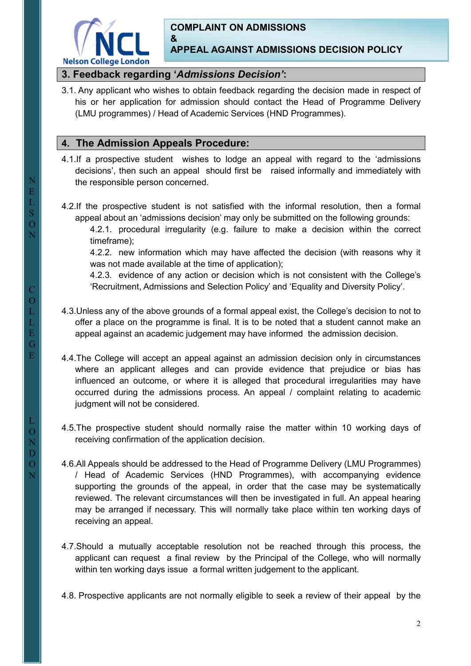

### **COMPLAINT ON ADMISSIONS**

**APPEAL AGAINST ADMISSIONS DECISION POLICY** 

### **3. Feedback regarding '***Admissions Decision'***:**

**&** 

3.1. Any applicant who wishes to obtain feedback regarding the decision made in respect of his or her application for admission should contact the Head of Programme Delivery (LMU programmes) / Head of Academic Services (HND Programmes).

#### **4. The Admission Appeals Procedure:**

- 4.1.If a prospective student wishes to lodge an appeal with regard to the 'admissions decisions', then such an appeal should first be raised informally and immediately with the responsible person concerned.
- 4.2.If the prospective student is not satisfied with the informal resolution, then a formal appeal about an 'admissions decision' may only be submitted on the following grounds:

4.2.1. procedural irregularity (e.g. failure to make a decision within the correct timeframe);

4.2.2. new information which may have affected the decision (with reasons why it was not made available at the time of application);

4.2.3. evidence of any action or decision which is not consistent with the College's 'Recruitment, Admissions and Selection Policy' and 'Equality and Diversity Policy'.

- 4.3.Unless any of the above grounds of a formal appeal exist, the College's decision to not to offer a place on the programme is final. It is to be noted that a student cannot make an appeal against an academic judgement may have informed the admission decision.
- 4.4.The College will accept an appeal against an admission decision only in circumstances where an applicant alleges and can provide evidence that prejudice or bias has influenced an outcome, or where it is alleged that procedural irregularities may have occurred during the admissions process. An appeal / complaint relating to academic judgment will not be considered.
- 4.5.The prospective student should normally raise the matter within 10 working days of receiving confirmation of the application decision.
- 4.6.All Appeals should be addressed to the Head of Programme Delivery (LMU Programmes) / Head of Academic Services (HND Programmes), with accompanying evidence supporting the grounds of the appeal, in order that the case may be systematically reviewed. The relevant circumstances will then be investigated in full. An appeal hearing may be arranged if necessary. This will normally take place within ten working days of receiving an appeal.
- 4.7.Should a mutually acceptable resolution not be reached through this process, the applicant can request a final review by the Principal of the College, who will normally within ten working days issue a formal written judgement to the applicant.
- 4.8. Prospective applicants are not normally eligible to seek a review of their appeal by the

L